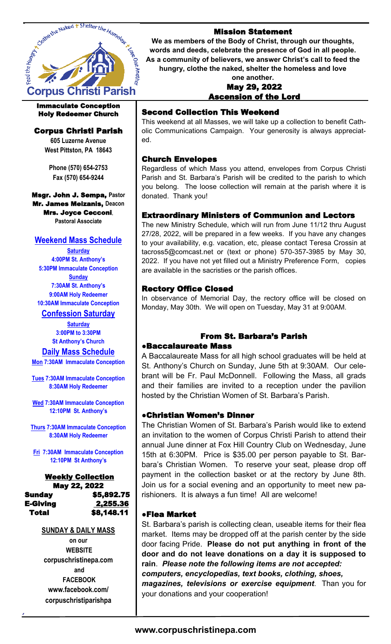

#### Immaculate Conception Holy Redeemer Church

# Corpus Christi Parish

**605 Luzerne Avenue West Pittston, PA 18643**

**Phone (570) 654-2753 Fax (570) 654-9244**

Msgr. John J. Sempa, **Pastor** Mr. James Meizanis, **Deacon** Mrs. Joyce Cecconi, **Pastoral Associate**

# **Weekend Mass Schedule**

**Saturday 4:00PM St. Anthony's 5:30PM Immaculate Conception Sunday 7:30AM St. Anthony's 9:00AM Holy Redeemer 10:30AM Immaculate Conception**

# **Confession Saturday**

**Saturday 3:00PM to 3:30PM St Anthony's Church**

#### **Daily Mass Schedule**

**Mon 7:30AM Immaculate Conception**

**Tues 7:30AM Immaculate Conception 8:30AM Holy Redeemer** 

**Wed 7:30AM Immaculate Conception 12:10PM St. Anthony's**

**Thurs 7:30AM Immaculate Conception 8:30AM Holy Redeemer**

**Fri 7:30AM Immaculate Conception 12:10PM St Anthony's**

#### Weekly Collection May 22, 2022 Sunday \$5,892.75 E-Giving 2,255.36 Total \$8,148.11

#### **SUNDAY & DAILY MASS**

**on our WEBSITE corpuschristinepa.com and FACEBOOK www.facebook.com/ corpuschristiparishpa**

### Mission Statement

**We as members of the Body of Christ, through our thoughts, words and deeds, celebrate the presence of God in all people. As a community of believers, we answer Christ's call to feed the hungry, clothe the naked, shelter the homeless and love** 

#### **one another.**  May 29, 2022 Ascension of the Lord

# Second Collection This Weekend

This weekend at all Masses, we will take up a collection to benefit Catholic Communications Campaign. Your generosity is always appreciated.

#### Church Envelopes

Regardless of which Mass you attend, envelopes from Corpus Christi Parish and St. Barbara's Parish will be credited to the parish to which you belong. The loose collection will remain at the parish where it is donated. Thank you!

### Extraordinary Ministers of Communion and Lectors

The new Ministry Schedule, which will run from June 11/12 thru August 27/28, 2022, will be prepared in a few weeks. If you have any changes to your availability, e.g. vacation, etc, please contact Teresa Crossin at tacross5@comcast.net or (text or phone) 570-357-3985 by May 30, 2022. If you have not yet filled out a Ministry Preference Form, copies are available in the sacristies or the parish offices.

### Rectory Office Closed

In observance of Memorial Day, the rectory office will be closed on Monday, May 30th. We will open on Tuesday, May 31 at 9:00AM.

#### From St. Barbara's Parish ●Baccalaureate Mass

A Baccalaureate Mass for all high school graduates will be held at St. Anthony's Church on Sunday, June 5th at 9:30AM. Our celebrant will be Fr. Paul McDonnell. Following the Mass, all grads and their families are invited to a reception under the pavilion hosted by the Christian Women of St. Barbara's Parish.

#### ●Christian Women's Dinner

The Christian Women of St. Barbara's Parish would like to extend an invitation to the women of Corpus Christi Parish to attend their annual June dinner at Fox Hill Country Club on Wednesday, June 15th at 6:30PM. Price is \$35.00 per person payable to St. Barbara's Christian Women. To reserve your seat, please drop off payment in the collection basket or at the rectory by June 8th. Join us for a social evening and an opportunity to meet new parishioners. It is always a fun time! All are welcome!

#### ●Flea Market

St. Barbara's parish is collecting clean, useable items for their flea market. Items may be dropped off at the parish center by the side door facing Pride. **Please do not put anything in front of the door and do not leave donations on a day it is supposed to rain**. *Please note the following items are not accepted:* 

*computers, encyclopedias, text books, clothing, shoes,* 

*magazines, televisions or exercise equipment*. Than you for your donations and your cooperation!